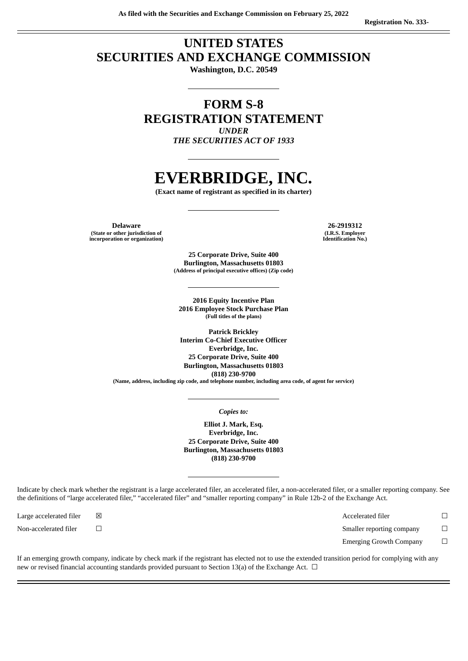## **UNITED STATES SECURITIES AND EXCHANGE COMMISSION**

**Washington, D.C. 20549**

### **FORM S-8 REGISTRATION STATEMENT** *UNDER*

*THE SECURITIES ACT OF 1933*

# **EVERBRIDGE, INC.**

**(Exact name of registrant as specified in its charter)**

**Delaware 26-2919312 (State or other jurisdiction of incorporation or organization)**

**(I.R.S. Employer Identification No.)**

**25 Corporate Drive, Suite 400 Burlington, Massachusetts 01803 (Address of principal executive offices) (Zip code)**

**2016 Equity Incentive Plan 2016 Employee Stock Purchase Plan (Full titles of the plans)**

**Patrick Brickley Interim Co-Chief Executive Officer Everbridge, Inc. 25 Corporate Drive, Suite 400 Burlington, Massachusetts 01803 (818) 230-9700 (Name, address, including zip code, and telephone number, including area code, of agent for service)**

*Copies to:*

**Elliot J. Mark, Esq. Everbridge, Inc. 25 Corporate Drive, Suite 400 Burlington, Massachusetts 01803 (818) 230-9700**

Indicate by check mark whether the registrant is a large accelerated filer, an accelerated filer, a non-accelerated filer, or a smaller reporting company. See the definitions of "large accelerated filer," "accelerated filer" and "smaller reporting company" in Rule 12b-2 of the Exchange Act.

Large accelerated filer ☒ Accelerated filer ☐

Non-accelerated filer □ □ state  $\Box$ 

Emerging Growth Company □

If an emerging growth company, indicate by check mark if the registrant has elected not to use the extended transition period for complying with any new or revised financial accounting standards provided pursuant to Section 13(a) of the Exchange Act.  $\Box$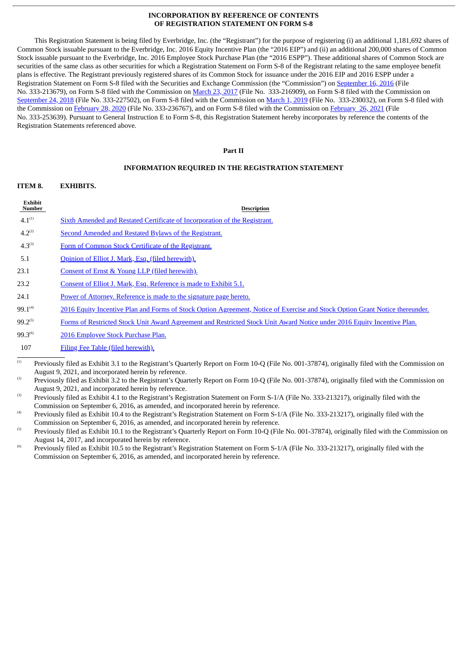#### **INCORPORATION BY REFERENCE OF CONTENTS OF REGISTRATION STATEMENT ON FORM S-8**

This Registration Statement is being filed by Everbridge, Inc. (the "Registrant") for the purpose of registering (i) an additional 1,181,692 shares of Common Stock issuable pursuant to the Everbridge, Inc. 2016 Equity Incentive Plan (the "2016 EIP") and (ii) an additional 200,000 shares of Common Stock issuable pursuant to the Everbridge, Inc. 2016 Employee Stock Purchase Plan (the "2016 ESPP"). These additional shares of Common Stock are securities of the same class as other securities for which a Registration Statement on Form S-8 of the Registrant relating to the same employee benefit plans is effective. The Registrant previously registered shares of its Common Stock for issuance under the 2016 EIP and 2016 ESPP under a Registration Statement on Form S-8 filed with the Securities and Exchange Commission (the "Commission") on [September](http://www.sec.gov/Archives/edgar/data/1437352/000119312516712278/d261329ds8.htm) 16, 2016 (File No. 333-213679), on Form S-8 filed with the Commission on [March](http://www.sec.gov/Archives/edgar/data/1437352/000119312517093888/d319548ds8.htm) 23, 2017 (File No. 333-216909), on Form S-8 filed with the Commission on [September](http://www.sec.gov/Archives/edgar/data/1437352/000119312518281160/d625558ds8.htm) 24, 2018 (File No. 333-227502), on Form S-8 filed with the Commission on [March](http://www.sec.gov/Archives/edgar/data/1437352/000119312519061168/d704471ds8.htm) 1, 2019 (File No. 333-230032), on Form S-8 filed with the Commission on [February](http://www.sec.gov/Archives/edgar/data/1437352/000119312520056494/d871927ds8.htm) 28, 2020 (File No. 333-236767), and on Form S-8 filed with the Commission on [February](http://www.sec.gov/Archives/edgar/data/1437352/000119312521060902/d285401ds8.htm) 26, 2021 (File No. 333-253639). Pursuant to General Instruction E to Form S-8, this Registration Statement hereby incorporates by reference the contents of the Registration Statements referenced above.

#### **Part II**

#### **INFORMATION REQUIRED IN THE REGISTRATION STATEMENT**

| ITEM 8. | <b>EXHIBITS.</b> |
|---------|------------------|
|         |                  |

| <b>Exhibit</b><br>Number | <b>Description</b>                                                         |
|--------------------------|----------------------------------------------------------------------------|
| $4.1^{(1)}$              | Sixth Amended and Restated Certificate of Incorporation of the Registrant. |
| $4.2^{(2)}$              | Second Amended and Restated Bylaws of the Registrant.                      |
| $4.3^{(3)}$              | Form of Common Stock Certificate of the Registrant.                        |
| 5.1                      | Opinion of Elliot J. Mark, Esq. (filed herewith).                          |
| 23.1                     | Consent of Ernst & Young LLP (filed herewith).                             |
| 23.2                     | Consent of Elliot J. Mark, Esq. Reference is made to Exhibit 5.1.          |
| 24.1                     | Power of Attorney. Reference is made to the signature page hereto.         |
| $- - -$                  |                                                                            |

- $99.1^{(4)}$ 2016 Equity Incentive Plan and Forms of Stock Option [Agreement,](http://www.sec.gov/Archives/edgar/data/1437352/000119312516701310/d16274dex104.htm) Notice of Exercise and Stock Option Grant Notice thereunder.
- $99.2^{(5)}$ Forms of Restricted Stock Unit Award [Agreement](http://www.sec.gov/Archives/edgar/data/1437352/000156459017017657/evbg-ex101_210.htm) and Restricted Stock Unit Award Notice under 2016 Equity Incentive Plan.

99.3<sup>(6)</sup> 2016 [Employee](http://www.sec.gov/Archives/edgar/data/1437352/000119312516701310/d16274dex105.htm) Stock Purchase Plan.

107 Filing Fee Table (filed [herewith\).](#page-5-0)

 $(2)$  Previously filed as Exhibit 3.2 to the Registrant's Quarterly Report on Form 10-Q (File No. 001-37874), originally filed with the Commission on August 9, 2021, and incorporated herein by reference.

<sup>(3)</sup> Previously filed as Exhibit 4.1 to the Registrant's Registration Statement on Form S-1/A (File No. 333-213217), originally filed with the Commission on September 6, 2016, as amended, and incorporated herein by reference.

<sup>(4)</sup> Previously filed as Exhibit 10.4 to the Registrant's Registration Statement on Form S-1/A (File No. 333-213217), originally filed with the Commission on September 6, 2016, as amended, and incorporated herein by reference.

<sup>(5)</sup> Previously filed as Exhibit 10.1 to the Registrant's Quarterly Report on Form 10-Q (File No. 001-37874), originally filed with the Commission on August 14, 2017, and incorporated herein by reference.

<sup>(6)</sup> Previously filed as Exhibit 10.5 to the Registrant's Registration Statement on Form S-1/A (File No. 333-213217), originally filed with the Commission on September 6, 2016, as amended, and incorporated herein by reference.

 $\overline{a}$  Previously filed as Exhibit 3.1 to the Registrant's Quarterly Report on Form 10-Q (File No. 001-37874), originally filed with the Commission on August 9, 2021, and incorporated herein by reference.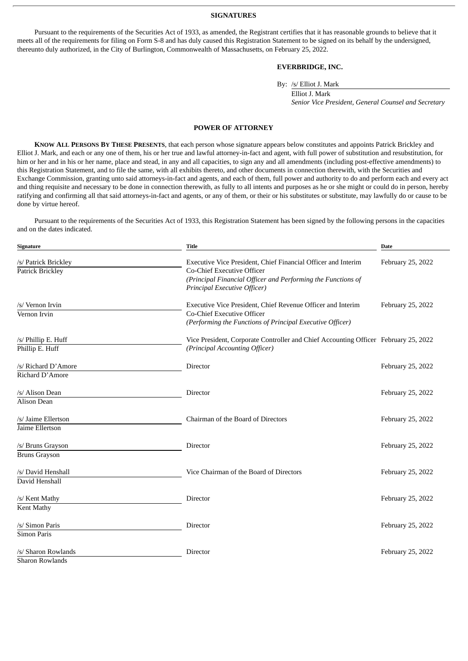#### **SIGNATURES**

<span id="page-2-0"></span>Pursuant to the requirements of the Securities Act of 1933, as amended, the Registrant certifies that it has reasonable grounds to believe that it meets all of the requirements for filing on Form S-8 and has duly caused this Registration Statement to be signed on its behalf by the undersigned, thereunto duly authorized, in the City of Burlington, Commonwealth of Massachusetts, on February 25, 2022.

#### **EVERBRIDGE, INC.**

By: /s/ Elliot J. Mark

Elliot J. Mark *Senior Vice President, General Counsel and Secretary*

#### **POWER OF ATTORNEY**

**KNOW ALL PERSONS BY THESE PRESENTS**, that each person whose signature appears below constitutes and appoints Patrick Brickley and Elliot J. Mark, and each or any one of them, his or her true and lawful attorney-in-fact and agent, with full power of substitution and resubstitution, for him or her and in his or her name, place and stead, in any and all capacities, to sign any and all amendments (including post-effective amendments) to this Registration Statement, and to file the same, with all exhibits thereto, and other documents in connection therewith, with the Securities and Exchange Commission, granting unto said attorneys-in-fact and agents, and each of them, full power and authority to do and perform each and every act and thing requisite and necessary to be done in connection therewith, as fully to all intents and purposes as he or she might or could do in person, hereby ratifying and confirming all that said attorneys-in-fact and agents, or any of them, or their or his substitutes or substitute, may lawfully do or cause to be done by virtue hereof.

Pursuant to the requirements of the Securities Act of 1933, this Registration Statement has been signed by the following persons in the capacities and on the dates indicated.

| Signature                                 | <b>Date</b>                                                                                                                                                                                        |                   |
|-------------------------------------------|----------------------------------------------------------------------------------------------------------------------------------------------------------------------------------------------------|-------------------|
| /s/ Patrick Brickley<br>Patrick Brickley  | Executive Vice President, Chief Financial Officer and Interim<br><b>Co-Chief Executive Officer</b><br>(Principal Financial Officer and Performing the Functions of<br>Principal Executive Officer) | February 25, 2022 |
| /s/ Vernon Irvin<br>Vernon Irvin          | Executive Vice President, Chief Revenue Officer and Interim<br><b>Co-Chief Executive Officer</b><br>(Performing the Functions of Principal Executive Officer)                                      | February 25, 2022 |
| /s/ Phillip E. Huff<br>Phillip E. Huff    | Vice President, Corporate Controller and Chief Accounting Officer February 25, 2022<br>(Principal Accounting Officer)                                                                              |                   |
| /s/ Richard D'Amore<br>Richard D'Amore    | Director                                                                                                                                                                                           | February 25, 2022 |
| /s/ Alison Dean<br><b>Alison Dean</b>     | Director                                                                                                                                                                                           | February 25, 2022 |
| /s/ Jaime Ellertson<br>Jaime Ellertson    | Chairman of the Board of Directors                                                                                                                                                                 | February 25, 2022 |
| /s/ Bruns Grayson<br><b>Bruns Grayson</b> | Director                                                                                                                                                                                           | February 25, 2022 |
| /s/ David Henshall<br>David Henshall      | Vice Chairman of the Board of Directors                                                                                                                                                            | February 25, 2022 |
| /s/ Kent Mathy<br>Kent Mathy              | Director                                                                                                                                                                                           | February 25, 2022 |
| /s/ Simon Paris<br><b>Simon Paris</b>     | Director                                                                                                                                                                                           | February 25, 2022 |
| /s/ Sharon Rowlands<br>Sharon Rowlands    | Director                                                                                                                                                                                           | February 25, 2022 |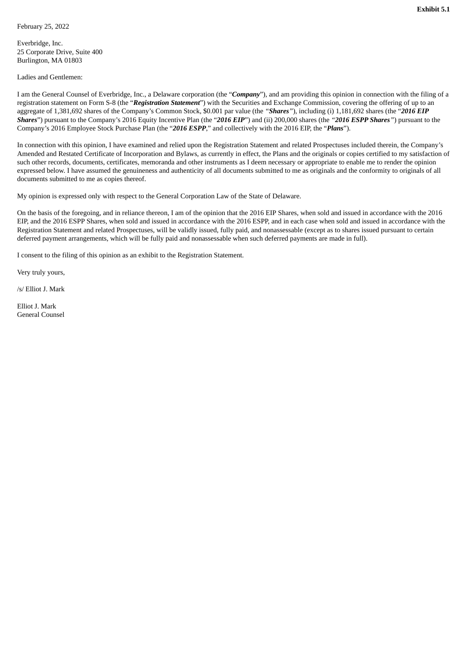<span id="page-3-0"></span>Everbridge, Inc. 25 Corporate Drive, Suite 400 Burlington, MA 01803

Ladies and Gentlemen:

I am the General Counsel of Everbridge, Inc., a Delaware corporation (the "*Company*"), and am providing this opinion in connection with the filing of a registration statement on Form S-8 (the "*Registration Statement*") with the Securities and Exchange Commission, covering the offering of up to an aggregate of 1,381,692 shares of the Company's Common Stock, \$0.001 par value (the *"Shares"*), including (i) 1,181,692 shares (the "*2016 EIP Shares*") pursuant to the Company's 2016 Equity Incentive Plan (the "*2016 EIP*") and (ii) 200,000 shares (the *"2016 ESPP Shares"*) pursuant to the Company's 2016 Employee Stock Purchase Plan (the "*2016 ESPP*," and collectively with the 2016 EIP, the "*Plans*").

In connection with this opinion, I have examined and relied upon the Registration Statement and related Prospectuses included therein, the Company's Amended and Restated Certificate of Incorporation and Bylaws, as currently in effect, the Plans and the originals or copies certified to my satisfaction of such other records, documents, certificates, memoranda and other instruments as I deem necessary or appropriate to enable me to render the opinion expressed below. I have assumed the genuineness and authenticity of all documents submitted to me as originals and the conformity to originals of all documents submitted to me as copies thereof.

My opinion is expressed only with respect to the General Corporation Law of the State of Delaware.

On the basis of the foregoing, and in reliance thereon, I am of the opinion that the 2016 EIP Shares, when sold and issued in accordance with the 2016 EIP, and the 2016 ESPP Shares, when sold and issued in accordance with the 2016 ESPP, and in each case when sold and issued in accordance with the Registration Statement and related Prospectuses, will be validly issued, fully paid, and nonassessable (except as to shares issued pursuant to certain deferred payment arrangements, which will be fully paid and nonassessable when such deferred payments are made in full).

I consent to the filing of this opinion as an exhibit to the Registration Statement.

Very truly yours,

/s/ Elliot J. Mark

Elliot J. Mark General Counsel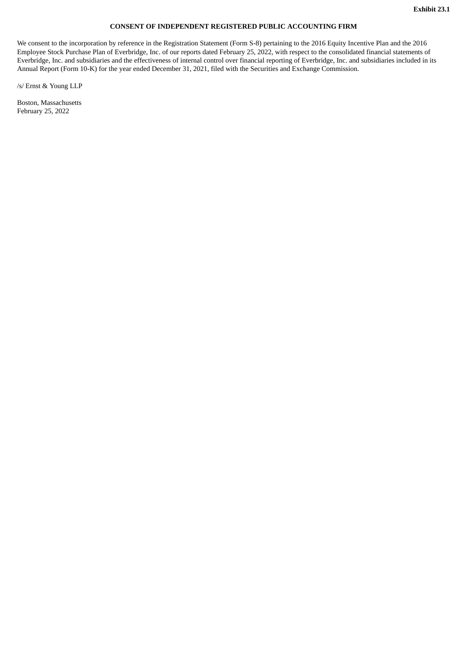#### **CONSENT OF INDEPENDENT REGISTERED PUBLIC ACCOUNTING FIRM**

<span id="page-4-0"></span>We consent to the incorporation by reference in the Registration Statement (Form S-8) pertaining to the 2016 Equity Incentive Plan and the 2016 Employee Stock Purchase Plan of Everbridge, Inc. of our reports dated February 25, 2022, with respect to the consolidated financial statements of Everbridge, Inc. and subsidiaries and the effectiveness of internal control over financial reporting of Everbridge, Inc. and subsidiaries included in its Annual Report (Form 10-K) for the year ended December 31, 2021, filed with the Securities and Exchange Commission.

/s/ Ernst & Young LLP

Boston, Massachusetts February 25, 2022